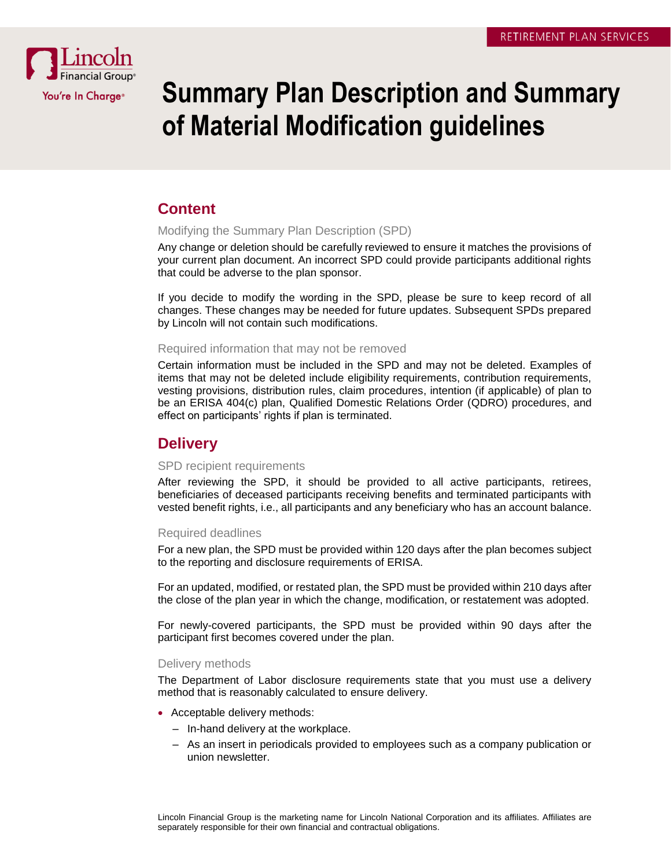

# **Summary Plan Description and Summary of Material Modification guidelines**

# **Content**

## Modifying the Summary Plan Description (SPD)

Any change or deletion should be carefully reviewed to ensure it matches the provisions of your current plan document. An incorrect SPD could provide participants additional rights that could be adverse to the plan sponsor.

If you decide to modify the wording in the SPD, please be sure to keep record of all changes. These changes may be needed for future updates. Subsequent SPDs prepared by Lincoln will not contain such modifications.

## Required information that may not be removed

Certain information must be included in the SPD and may not be deleted. Examples of items that may not be deleted include eligibility requirements, contribution requirements, vesting provisions, distribution rules, claim procedures, intention (if applicable) of plan to be an ERISA 404(c) plan, Qualified Domestic Relations Order (QDRO) procedures, and effect on participants' rights if plan is terminated.

# **Delivery**

## SPD recipient requirements

After reviewing the SPD, it should be provided to all active participants, retirees, beneficiaries of deceased participants receiving benefits and terminated participants with vested benefit rights, i.e., all participants and any beneficiary who has an account balance.

# Required deadlines

For a new plan, the SPD must be provided within 120 days after the plan becomes subject to the reporting and disclosure requirements of ERISA.

For an updated, modified, or restated plan, the SPD must be provided within 210 days after the close of the plan year in which the change, modification, or restatement was adopted.

For newly-covered participants, the SPD must be provided within 90 days after the participant first becomes covered under the plan.

# Delivery methods

The Department of Labor disclosure requirements state that you must use a delivery method that is reasonably calculated to ensure delivery.

- Acceptable delivery methods:
	- In-hand delivery at the workplace.
	- As an insert in periodicals provided to employees such as a company publication or union newsletter.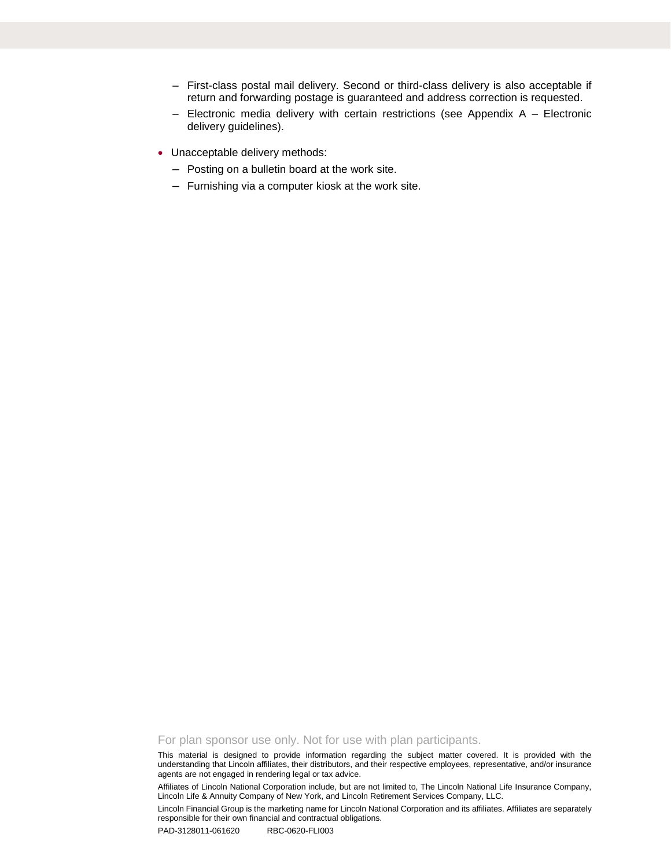- First-class postal mail delivery. Second or third-class delivery is also acceptable if return and forwarding postage is guaranteed and address correction is requested.
- Electronic media delivery with certain restrictions (see Appendix A Electronic delivery guidelines).
- Unacceptable delivery methods:
	- Posting on a bulletin board at the work site.
	- Furnishing via a computer kiosk at the work site.

For plan sponsor use only. Not for use with plan participants.

This material is designed to provide information regarding the subject matter covered. It is provided with the understanding that Lincoln affiliates, their distributors, and their respective employees, representative, and/or insurance agents are not engaged in rendering legal or tax advice.

Affiliates of Lincoln National Corporation include, but are not limited to, The Lincoln National Life Insurance Company, Lincoln Life & Annuity Company of New York, and Lincoln Retirement Services Company, LLC.

Lincoln Financial Group is the marketing name for Lincoln National Corporation and its affiliates. Affiliates are separately responsible for their own financial and contractual obligations.